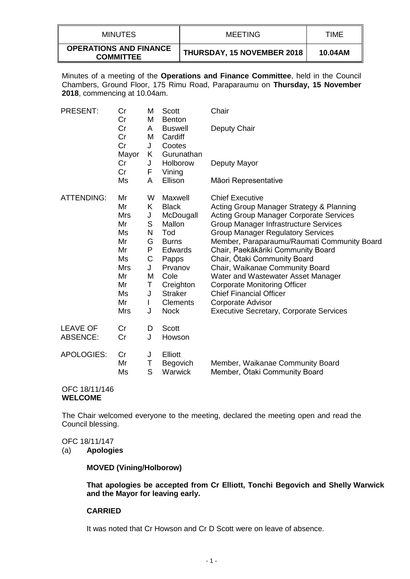| <b>MINUTES</b>                                    | MEETING                           | TIME    |
|---------------------------------------------------|-----------------------------------|---------|
| <b>OPERATIONS AND FINANCE</b><br><b>COMMITTEE</b> | <b>THURSDAY, 15 NOVEMBER 2018</b> | 10.04AM |

Minutes of a meeting of the **Operations and Finance Committee**, held in the Council Chambers, Ground Floor, 175 Rimu Road, Paraparaumu on **Thursday, 15 November 2018**, commencing at 10.04am.

| <b>PRESENT:</b>                    | Cr<br>Cr                                                                                   | M<br>M                                                                        | Scott<br><b>Benton</b>                                                                                                                                                               | Chair                                                                                                                                                                                                                                                                                                                                                                                                                                                                                                                                                          |
|------------------------------------|--------------------------------------------------------------------------------------------|-------------------------------------------------------------------------------|--------------------------------------------------------------------------------------------------------------------------------------------------------------------------------------|----------------------------------------------------------------------------------------------------------------------------------------------------------------------------------------------------------------------------------------------------------------------------------------------------------------------------------------------------------------------------------------------------------------------------------------------------------------------------------------------------------------------------------------------------------------|
|                                    | Cr<br>Cr<br>Cr<br>Mayor                                                                    | A<br>M<br>J<br>K                                                              | <b>Buswell</b><br>Cardiff<br>Cootes<br>Gurunathan                                                                                                                                    | Deputy Chair                                                                                                                                                                                                                                                                                                                                                                                                                                                                                                                                                   |
|                                    | Cr<br>Cr                                                                                   | J<br>F                                                                        | Holborow<br>Vining                                                                                                                                                                   | Deputy Mayor                                                                                                                                                                                                                                                                                                                                                                                                                                                                                                                                                   |
|                                    | Ms                                                                                         | A                                                                             | Ellison                                                                                                                                                                              | Māori Representative                                                                                                                                                                                                                                                                                                                                                                                                                                                                                                                                           |
| <b>ATTENDING:</b>                  | Mr<br>Mr<br>Mrs<br>Mr<br>Ms<br>Mr<br>Mr<br>Ms<br>Mrs<br>Mr<br>Mr<br>Ms<br>Mr<br><b>Mrs</b> | W<br>Κ<br>J<br>S<br>N<br>G<br>P<br>C<br>J<br>M<br>Τ<br>J<br>$\mathbf{I}$<br>J | Maxwell<br><b>Black</b><br>McDougall<br>Mallon<br>Tod<br><b>Burns</b><br><b>Edwards</b><br>Papps<br>Prvanov<br>Cole<br>Creighton<br><b>Straker</b><br><b>Clements</b><br><b>Nock</b> | <b>Chief Executive</b><br>Acting Group Manager Strategy & Planning<br><b>Acting Group Manager Corporate Services</b><br>Group Manager Infrastructure Services<br><b>Group Manager Regulatory Services</b><br>Member, Paraparaumu/Raumati Community Board<br>Chair, Paekākāriki Community Board<br>Chair, Otaki Community Board<br>Chair, Waikanae Community Board<br>Water and Wastewater Asset Manager<br><b>Corporate Monitoring Officer</b><br><b>Chief Financial Officer</b><br><b>Corporate Advisor</b><br><b>Executive Secretary, Corporate Services</b> |
| <b>LEAVE OF</b><br><b>ABSENCE:</b> | Cr<br>Cr                                                                                   | D<br>J                                                                        | Scott<br>Howson                                                                                                                                                                      |                                                                                                                                                                                                                                                                                                                                                                                                                                                                                                                                                                |
| <b>APOLOGIES:</b>                  | Cr<br>Mr<br>Ms                                                                             | J<br>Τ<br>S                                                                   | Elliott<br>Begovich<br>Warwick                                                                                                                                                       | Member, Waikanae Community Board<br>Member, Otaki Community Board                                                                                                                                                                                                                                                                                                                                                                                                                                                                                              |
| ~-~<br>10111110                    |                                                                                            |                                                                               |                                                                                                                                                                                      |                                                                                                                                                                                                                                                                                                                                                                                                                                                                                                                                                                |

#### OFC 18/11/146 **WELCOME**

The Chair welcomed everyone to the meeting, declared the meeting open and read the Council blessing.

## OFC 18/11/147

(a) **Apologies**

### **MOVED (Vining/Holborow)**

**That apologies be accepted from Cr Elliott, Tonchi Begovich and Shelly Warwick and the Mayor for leaving early.**

## **CARRIED**

It was noted that Cr Howson and Cr D Scott were on leave of absence.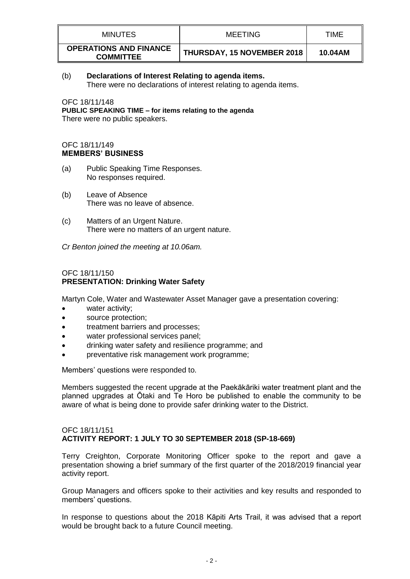| <b>MINUTES</b>                                    | MEETING                           | TIME    |
|---------------------------------------------------|-----------------------------------|---------|
| <b>OPERATIONS AND FINANCE</b><br><b>COMMITTEE</b> | <b>THURSDAY, 15 NOVEMBER 2018</b> | 10.04AM |

## (b) **Declarations of Interest Relating to agenda items.**

There were no declarations of interest relating to agenda items.

OFC 18/11/148 **PUBLIC SPEAKING TIME – for items relating to the agenda** There were no public speakers.

## OFC 18/11/149 **MEMBERS' BUSINESS**

- (a) Public Speaking Time Responses. No responses required.
- (b) Leave of Absence There was no leave of absence.
- (c) Matters of an Urgent Nature. There were no matters of an urgent nature.

*Cr Benton joined the meeting at 10.06am.*

## OFC 18/11/150 **PRESENTATION: Drinking Water Safety**

Martyn Cole, Water and Wastewater Asset Manager gave a presentation covering:

- water activity;
- source protection;
- treatment barriers and processes;
- water professional services panel;
- drinking water safety and resilience programme; and
- preventative risk management work programme;

Members' questions were responded to.

Members suggested the recent upgrade at the Paekākāriki water treatment plant and the planned upgrades at Ōtaki and Te Horo be published to enable the community to be aware of what is being done to provide safer drinking water to the District.

### OFC 18/11/151 **ACTIVITY REPORT: 1 JULY TO 30 SEPTEMBER 2018 (SP-18-669)**

Terry Creighton, Corporate Monitoring Officer spoke to the report and gave a presentation showing a brief summary of the first quarter of the 2018/2019 financial year activity report.

Group Managers and officers spoke to their activities and key results and responded to members' questions.

In response to questions about the 2018 Kāpiti Arts Trail, it was advised that a report would be brought back to a future Council meeting.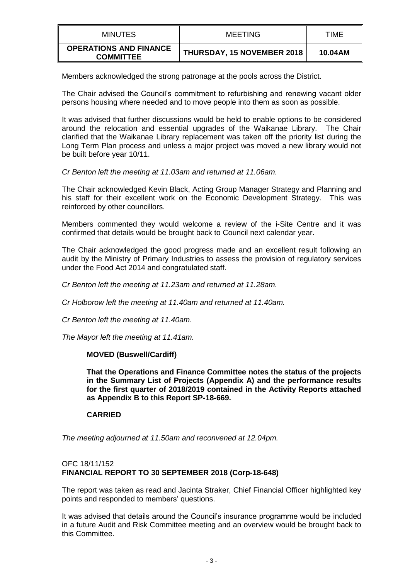| MINUTES                                           | MEETING                           | <b>TIME</b> |
|---------------------------------------------------|-----------------------------------|-------------|
| <b>OPERATIONS AND FINANCE</b><br><b>COMMITTEE</b> | <b>THURSDAY, 15 NOVEMBER 2018</b> | 10.04AM     |

Members acknowledged the strong patronage at the pools across the District.

The Chair advised the Council's commitment to refurbishing and renewing vacant older persons housing where needed and to move people into them as soon as possible.

It was advised that further discussions would be held to enable options to be considered around the relocation and essential upgrades of the Waikanae Library. The Chair clarified that the Waikanae Library replacement was taken off the priority list during the Long Term Plan process and unless a major project was moved a new library would not be built before year 10/11.

*Cr Benton left the meeting at 11.03am and returned at 11.06am.*

The Chair acknowledged Kevin Black, Acting Group Manager Strategy and Planning and his staff for their excellent work on the Economic Development Strategy. This was reinforced by other councillors.

Members commented they would welcome a review of the i-Site Centre and it was confirmed that details would be brought back to Council next calendar year.

The Chair acknowledged the good progress made and an excellent result following an audit by the Ministry of Primary Industries to assess the provision of regulatory services under the Food Act 2014 and congratulated staff.

*Cr Benton left the meeting at 11.23am and returned at 11.28am.*

*Cr Holborow left the meeting at 11.40am and returned at 11.40am.*

*Cr Benton left the meeting at 11.40am.*

*The Mayor left the meeting at 11.41am.*

## **MOVED (Buswell/Cardiff)**

**That the Operations and Finance Committee notes the status of the projects in the Summary List of Projects (Appendix A) and the performance results for the first quarter of 2018/2019 contained in the Activity Reports attached as Appendix B to this Report SP-18-669.**

## **CARRIED**

*The meeting adjourned at 11.50am and reconvened at 12.04pm.*

## OFC 18/11/152 **FINANCIAL REPORT TO 30 SEPTEMBER 2018 (Corp-18-648)**

The report was taken as read and Jacinta Straker, Chief Financial Officer highlighted key points and responded to members' questions.

It was advised that details around the Council's insurance programme would be included in a future Audit and Risk Committee meeting and an overview would be brought back to this Committee.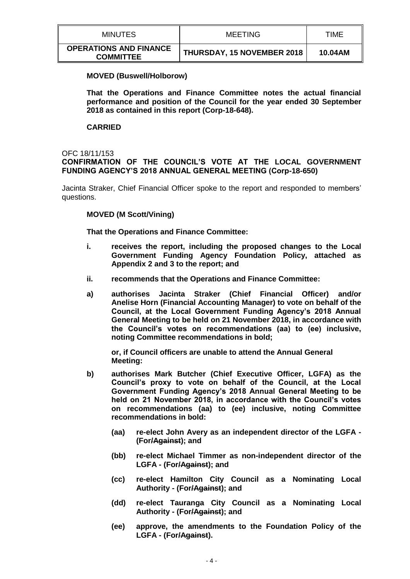| MINUTES                                           | <b>MEETING</b>                    | TIME    |
|---------------------------------------------------|-----------------------------------|---------|
| <b>OPERATIONS AND FINANCE</b><br><b>COMMITTEE</b> | <b>THURSDAY, 15 NOVEMBER 2018</b> | 10.04AM |

### **MOVED (Buswell/Holborow)**

**That the Operations and Finance Committee notes the actual financial performance and position of the Council for the year ended 30 September 2018 as contained in this report (Corp-18-648).**

### **CARRIED**

### OFC 18/11/153

## **CONFIRMATION OF THE COUNCIL'S VOTE AT THE LOCAL GOVERNMENT FUNDING AGENCY'S 2018 ANNUAL GENERAL MEETING (Corp-18-650)**

Jacinta Straker, Chief Financial Officer spoke to the report and responded to members' questions.

### **MOVED (M Scott/Vining)**

**That the Operations and Finance Committee:**

- **i. receives the report, including the proposed changes to the Local Government Funding Agency Foundation Policy, attached as Appendix 2 and 3 to the report; and**
- **ii. recommends that the Operations and Finance Committee:**
- **a) authorises Jacinta Straker (Chief Financial Officer) and/or Anelise Horn (Financial Accounting Manager) to vote on behalf of the Council, at the Local Government Funding Agency's 2018 Annual General Meeting to be held on 21 November 2018, in accordance with the Council's votes on recommendations (aa) to (ee) inclusive, noting Committee recommendations in bold;**

**or, if Council officers are unable to attend the Annual General Meeting:** 

- **b) authorises Mark Butcher (Chief Executive Officer, LGFA) as the Council's proxy to vote on behalf of the Council, at the Local Government Funding Agency's 2018 Annual General Meeting to be held on 21 November 2018, in accordance with the Council's votes on recommendations (aa) to (ee) inclusive, noting Committee recommendations in bold:** 
	- **(aa) re-elect John Avery as an independent director of the LGFA - (For/Against); and**
	- **(bb) re-elect Michael Timmer as non-independent director of the LGFA - (For/Against); and**
	- **(cc) re-elect Hamilton City Council as a Nominating Local Authority - (For/Against); and**
	- **(dd) re-elect Tauranga City Council as a Nominating Local Authority - (For/Against); and**
	- **(ee) approve, the amendments to the Foundation Policy of the LGFA - (For/Against).**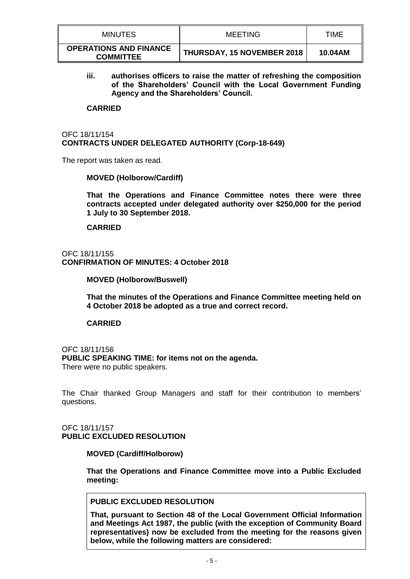| MINUTES                                           | <b>MEETING</b>                    | TIME    |
|---------------------------------------------------|-----------------------------------|---------|
| <b>OPERATIONS AND FINANCE</b><br><b>COMMITTEE</b> | <b>THURSDAY, 15 NOVEMBER 2018</b> | 10.04AM |

**iii. authorises officers to raise the matter of refreshing the composition of the Shareholders' Council with the Local Government Funding Agency and the Shareholders' Council.**

### **CARRIED**

## OFC 18/11/154 **CONTRACTS UNDER DELEGATED AUTHORITY (Corp-18-649)**

The report was taken as read.

### **MOVED (Holborow/Cardiff)**

**That the Operations and Finance Committee notes there were three contracts accepted under delegated authority over \$250,000 for the period 1 July to 30 September 2018.**

### **CARRIED**

### OFC 18/11/155 **CONFIRMATION OF MINUTES: 4 October 2018**

### **MOVED (Holborow/Buswell)**

**That the minutes of the Operations and Finance Committee meeting held on 4 October 2018 be adopted as a true and correct record.**

### **CARRIED**

OFC 18/11/156 **PUBLIC SPEAKING TIME: for items not on the agenda.** There were no public speakers.

The Chair thanked Group Managers and staff for their contribution to members' questions.

## OFC 18/11/157 **PUBLIC EXCLUDED RESOLUTION**

### **MOVED (Cardiff/Holborow)**

**That the Operations and Finance Committee move into a Public Excluded meeting:**

# **PUBLIC EXCLUDED RESOLUTION**

**That, pursuant to Section 48 of the Local Government Official Information and Meetings Act 1987, the public (with the exception of Community Board representatives) now be excluded from the meeting for the reasons given below, while the following matters are considered:**